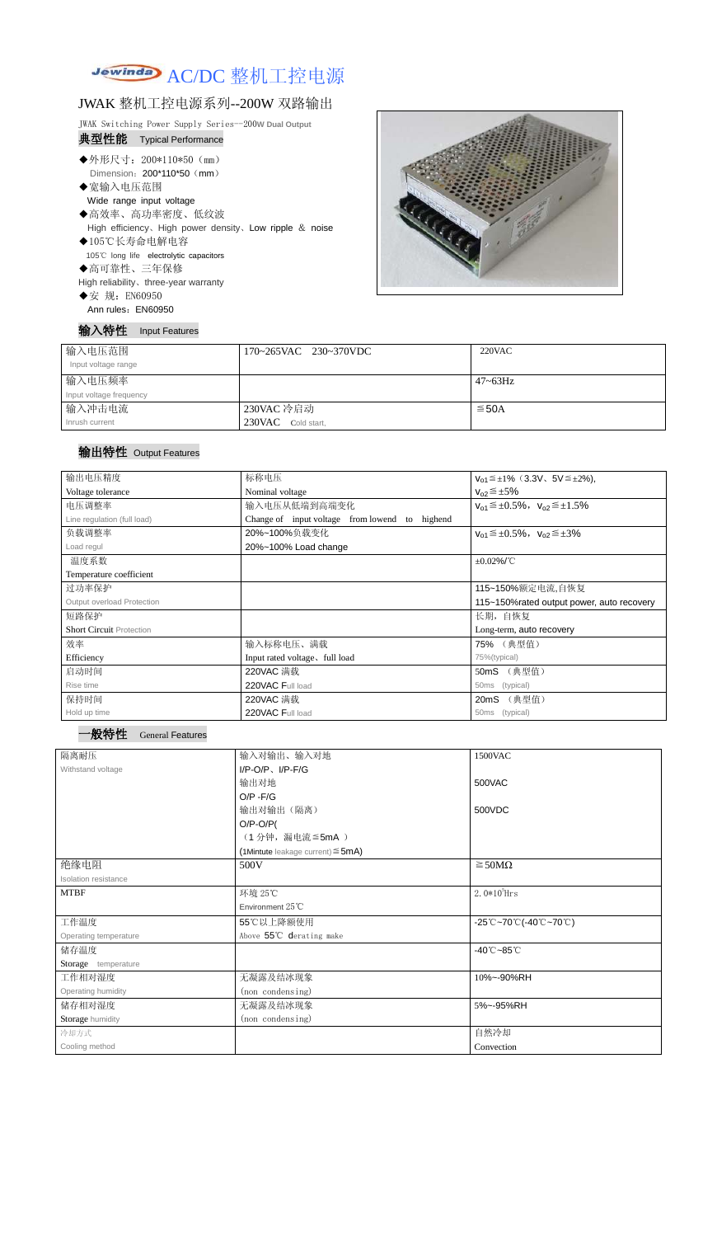# Jewinda AC/DC 整机工控电源

# JWAK 整机工控电源系列--200W 双路输出

JWAK Switching Power Supply Series--200**W Dual Output**

### 典型性能 Typical Performance

- ◆外形尺寸: 200\*110\*50 (mm) Dimension: 200\*110\*50 (mm)
- ◆宽输入电压范围
- Wide range input voltage
- ◆高效率、高功率密度、低纹波
- High efficiency、High power density、Low ripple & noise ◆105℃长寿命电解电容
- 105℃ long life electrolytic capacitors
- ◆高可靠性、三年保修

High reliability、three-year warranty

◆安 规: EN60950

Ann rules: EN60950





| 输入电压范围<br>Input voltage range | 170~265VAC 230~370VDC | 220VAC       |
|-------------------------------|-----------------------|--------------|
| 输入电压频率                        |                       | $47 - 63$ Hz |
| Input voltage frequency       |                       |              |
| 输入冲击电流                        | 230VAC 冷启动            | $\leq$ 50A   |
| Inrush current                | 230VAC Cold start,    |              |

## 输出特性 Output Features

#### 一般特性 General Features

| 输出电压精度                          | 标称电压<br>$V_{01} \leq \pm 1\%$ (3.3V, 5V $\leq \pm 2\%$ ), |                                                   |  |  |
|---------------------------------|-----------------------------------------------------------|---------------------------------------------------|--|--|
| Voltage tolerance               | Nominal voltage                                           | $V_{02} \leq \pm 5\%$                             |  |  |
| 电压调整率                           | 输入电压从低端到高端变化                                              | $V_{01} \leq \pm 0.5\%$ , $V_{02} \leq \pm 1.5\%$ |  |  |
| Line regulation (full load)     | Change of input voltage from lowend to<br>highend         |                                                   |  |  |
| 负载调整率                           | 20%~100%负载变化                                              | $V_{01} \leq \pm 0.5\%$ , $V_{02} \leq \pm 3\%$   |  |  |
| Load regul                      | 20%~100% Load change                                      |                                                   |  |  |
| 温度系数                            |                                                           | $\pm 0.02\%$ /°C                                  |  |  |
| Temperature coefficient         |                                                           |                                                   |  |  |
| 过功率保护                           |                                                           | 115~150%额定电流,自恢复                                  |  |  |
| Output overload Protection      |                                                           | 115~150% rated output power, auto recovery        |  |  |
| 短路保护                            |                                                           | 长期, 自恢复                                           |  |  |
| <b>Short Circuit Protection</b> |                                                           | Long-term, auto recovery                          |  |  |
| 效率                              | 输入标称电压、满载                                                 | 75% (典型值)                                         |  |  |
| Efficiency                      | Input rated voltage, full load                            | 75%(typical)                                      |  |  |
| 启动时间                            | 220VAC 满载                                                 | (典型值)<br>50mS                                     |  |  |
| Rise time                       | 220VAC Full load                                          | (typical)<br>50 <sub>ms</sub>                     |  |  |
| 保持时间                            | 220VAC 满载                                                 | (典型值)<br>20mS                                     |  |  |
| Hold up time                    | 220VAC Full load                                          | (typical)<br>50 <sub>ms</sub>                     |  |  |

| 隔离耐压                  | 输入对输出、输入对地                                | 1500VAC                                                                               |  |  |
|-----------------------|-------------------------------------------|---------------------------------------------------------------------------------------|--|--|
| Withstand voltage     | $I/P-O/P$ , $I/P-F/G$                     |                                                                                       |  |  |
|                       | 输出对地                                      | 500VAC                                                                                |  |  |
|                       | $O/P - F/G$                               |                                                                                       |  |  |
|                       | 输出对输出(隔离)                                 | 500VDC                                                                                |  |  |
|                       | $O/P-O/P($                                |                                                                                       |  |  |
|                       | (1分钟,漏电流≦5mA)                             |                                                                                       |  |  |
|                       | $(1$ Mintute leakage current) $\leq$ 5mA) |                                                                                       |  |  |
| 绝缘电阻                  | 500V                                      | $\geq$ 50M $\Omega$                                                                   |  |  |
| Isolation resistance  |                                           |                                                                                       |  |  |
| <b>MTBF</b>           | 环境 25℃                                    | $2.0*105$ Hrs                                                                         |  |  |
|                       | Environment 25°C                          |                                                                                       |  |  |
| 工作温度                  | 55℃以上降额使用                                 | $-25^{\circ}\text{C}-70^{\circ}\text{C}$ (-40 $^{\circ}\text{C}-70^{\circ}\text{C}$ ) |  |  |
| Operating temperature | Above 55°C derating make                  |                                                                                       |  |  |
| 储存温度                  |                                           | $-40^{\circ}$ C $-85^{\circ}$ C                                                       |  |  |
| Storage temperature   |                                           |                                                                                       |  |  |
| 工作相对湿度                | 无凝露及结冰现象                                  | 10%~-90%RH                                                                            |  |  |
| Operating humidity    | (non condensing)                          |                                                                                       |  |  |
| 储存相对湿度                | 无凝露及结冰现象                                  | 5%~-95%RH                                                                             |  |  |
| Storage humidity      | (non condensing)                          |                                                                                       |  |  |
| 冷却方式                  |                                           | 自然冷却                                                                                  |  |  |
| Cooling method        |                                           | Convection                                                                            |  |  |